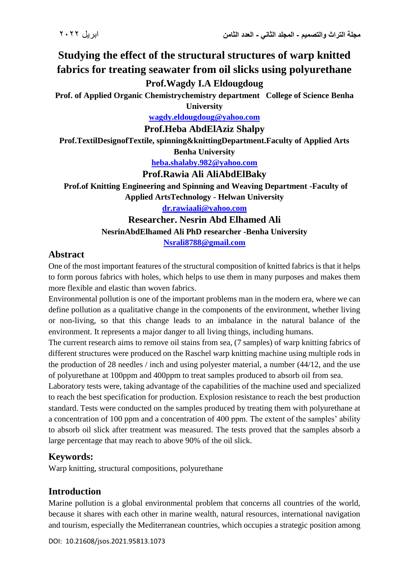# **Studying the effect of the structural structures of warp knitted fabrics for treating seawater from oil slicks using polyurethane Prof.Wagdy I.A Eldougdoug**

**Prof. of Applied Organic Chemistrychemistry department College of Science Benha University**

**[wagdy.eldougdoug@yahoo.com](mailto:wagdy.eldougdoug@yahoo.com)**

**Prof.Heba AbdElAziz Shalpy**

**Prof.TextilDesignofTextile, spinning&knittingDepartment.Faculty of Applied Arts Benha University**

**[heba.shalaby.982@yahoo.com](mailto:heba.shalaby.982@yahoo.com)**

#### **Prof.Rawia Ali AliAbdElBaky**

 **Prof.of Knitting Engineering and Spinning and Weaving Department -Faculty of Applied ArtsTechnology - Helwan University**

**[dr.rawiaali@yahoo.com](mailto:dr.rawiaali@yahoo.com)**

### **Researcher. Nesrin Abd Elhamed Ali NesrinAbdElhamed Ali PhD researcher -Benha University [Nsrali8788@gmail.com](mailto:Nsrali8788@gmail.com)**

#### **Abstract**

One of the most important features of the structural composition of knitted fabrics is that it helps to form porous fabrics with holes, which helps to use them in many purposes and makes them more flexible and elastic than woven fabrics.

Environmental pollution is one of the important problems man in the modern era, where we can define pollution as a qualitative change in the components of the environment, whether living or non-living, so that this change leads to an imbalance in the natural balance of the environment. It represents a major danger to all living things, including humans.

The current research aims to remove oil stains from sea, (7 samples) of warp knitting fabrics of different structures were produced on the Raschel warp knitting machine using multiple rods in the production of 28 needles / inch and using polyester material, a number (44/12, and the use of polyurethane at 100ppm and 400ppm to treat samples produced to absorb oil from sea.

Laboratory tests were, taking advantage of the capabilities of the machine used and specialized to reach the best specification for production. Explosion resistance to reach the best production standard. Tests were conducted on the samples produced by treating them with polyurethane at a concentration of 100 ppm and a concentration of 400 ppm. The extent of the samples' ability to absorb oil slick after treatment was measured. The tests proved that the samples absorb a large percentage that may reach to above 90% of the oil slick.

# **Keywords:**

Warp knitting, structural compositions, polyurethane

# **Introduction**

Marine pollution is a global environmental problem that concerns all countries of the world, because it shares with each other in marine wealth, natural resources, international navigation and tourism, especially the Mediterranean countries, which occupies a strategic position among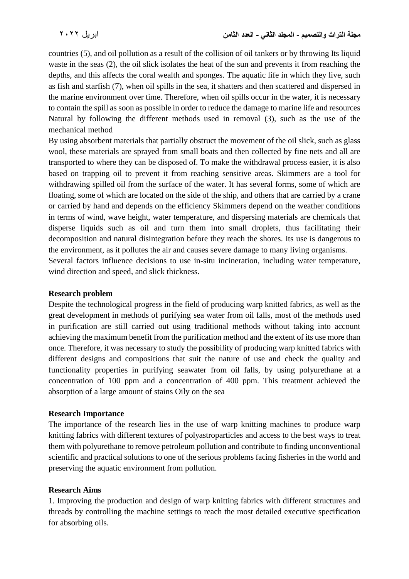countries (5), and oil pollution as a result of the collision of oil tankers or by throwing Its liquid waste in the seas (2), the oil slick isolates the heat of the sun and prevents it from reaching the depths, and this affects the coral wealth and sponges. The aquatic life in which they live, such as fish and starfish (7), when oil spills in the sea, it shatters and then scattered and dispersed in the marine environment over time. Therefore, when oil spills occur in the water, it is necessary to contain the spill as soon as possible in order to reduce the damage to marine life and resources Natural by following the different methods used in removal (3), such as the use of the mechanical method

By using absorbent materials that partially obstruct the movement of the oil slick, such as glass wool, these materials are sprayed from small boats and then collected by fine nets and all are transported to where they can be disposed of. To make the withdrawal process easier, it is also based on trapping oil to prevent it from reaching sensitive areas. Skimmers are a tool for withdrawing spilled oil from the surface of the water. It has several forms, some of which are floating, some of which are located on the side of the ship, and others that are carried by a crane or carried by hand and depends on the efficiency Skimmers depend on the weather conditions in terms of wind, wave height, water temperature, and dispersing materials are chemicals that disperse liquids such as oil and turn them into small droplets, thus facilitating their decomposition and natural disintegration before they reach the shores. Its use is dangerous to the environment, as it pollutes the air and causes severe damage to many living organisms. Several factors influence decisions to use in-situ incineration, including water temperature,

wind direction and speed, and slick thickness.

#### **Research problem**

Despite the technological progress in the field of producing warp knitted fabrics, as well as the great development in methods of purifying sea water from oil falls, most of the methods used in purification are still carried out using traditional methods without taking into account achieving the maximum benefit from the purification method and the extent of its use more than once. Therefore, it was necessary to study the possibility of producing warp knitted fabrics with different designs and compositions that suit the nature of use and check the quality and functionality properties in purifying seawater from oil falls, by using polyurethane at a concentration of 100 ppm and a concentration of 400 ppm. This treatment achieved the absorption of a large amount of stains Oily on the sea

#### **Research Importance**

The importance of the research lies in the use of warp knitting machines to produce warp knitting fabrics with different textures of polyastroparticles and access to the best ways to treat them with polyurethane to remove petroleum pollution and contribute to finding unconventional scientific and practical solutions to one of the serious problems facing fisheries in the world and preserving the aquatic environment from pollution.

#### **Research Aims**

1. Improving the production and design of warp knitting fabrics with different structures and threads by controlling the machine settings to reach the most detailed executive specification for absorbing oils.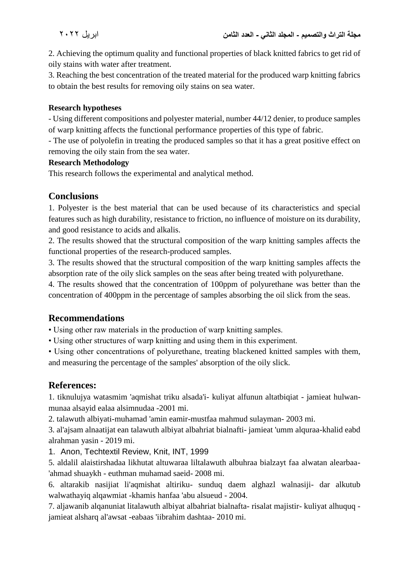2. Achieving the optimum quality and functional properties of black knitted fabrics to get rid of oily stains with water after treatment.

3. Reaching the best concentration of the treated material for the produced warp knitting fabrics to obtain the best results for removing oily stains on sea water.

#### **Research hypotheses**

- Using different compositions and polyester material, number 44/12 denier, to produce samples of warp knitting affects the functional performance properties of this type of fabric.

- The use of polyolefin in treating the produced samples so that it has a great positive effect on removing the oily stain from the sea water.

#### **Research Methodology**

This research follows the experimental and analytical method.

# **Conclusions**

1. Polyester is the best material that can be used because of its characteristics and special features such as high durability, resistance to friction, no influence of moisture on its durability, and good resistance to acids and alkalis.

2. The results showed that the structural composition of the warp knitting samples affects the functional properties of the research-produced samples.

3. The results showed that the structural composition of the warp knitting samples affects the absorption rate of the oily slick samples on the seas after being treated with polyurethane.

4. The results showed that the concentration of 100ppm of polyurethane was better than the concentration of 400ppm in the percentage of samples absorbing the oil slick from the seas.

# **Recommendations**

• Using other raw materials in the production of warp knitting samples.

• Using other structures of warp knitting and using them in this experiment.

• Using other concentrations of polyurethane, treating blackened knitted samples with them, and measuring the percentage of the samples' absorption of the oily slick.

# **References:**

1. tiknulujya watasmim 'aqmishat triku alsada'i- kuliyat alfunun altatbiqiat - jamieat hulwanmunaa alsayid ealaa alsimnudaa -2001 mi.

2. talawuth albiyati-muhamad 'amin eamir-mustfaa mahmud sulayman- 2003 mi.

3. al'ajsam alnaatijat ean talawuth albiyat albahriat bialnafti- jamieat 'umm alquraa-khalid eabd alrahman yasin - 2019 mi.

1. Anon, Techtextil Review, Knit, INT, 1999

5. aldalil alaistirshadaa likhutat altuwaraa liltalawuth albuhraa bialzayt faa alwatan alearbaa- 'ahmad shuaykh - euthman muhamad saeid- 2008 mi.

6. altarakib nasijiat li'aqmishat altiriku- sunduq daem alghazl walnasiji- dar alkutub walwathayiq alqawmiat -khamis hanfaa 'abu alsueud - 2004.

7. aljawanib alqanuniat litalawuth albiyat albahriat bialnafta- risalat majistir- kuliyat alhuquq jamieat alsharq al'awsat -eabaas 'iibrahim dashtaa- 2010 mi.